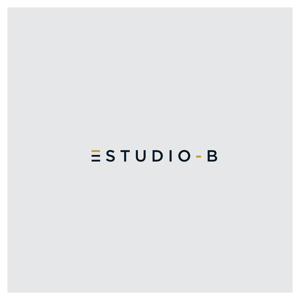# $S T U D I O - B$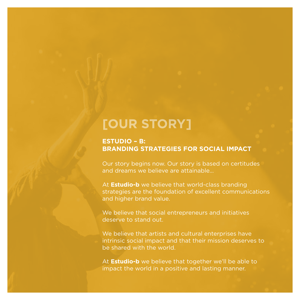#### **[OUR STORY]**

#### **ESTUDIO – B: BRANDING STRATEGIES FOR SOCIAL IMPACT**

Our story begins now. Our story is based on certitudes and dreams we believe are attainable…

At **Estudio-b** we believe that world-class branding strategies are the foundation of excellent communications and higher brand value.

We believe that social entrepreneurs and initiatives deserve to stand out.

We believe that artists and cultural enterprises have intrinsic social impact and that their mission deserves to be shared with the world.

At **Estudio-b** we believe that together we'll be able to impact the world in a positive and lasting manner.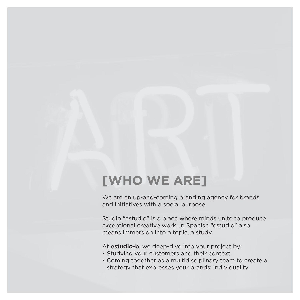### **[WHO WE ARE]**

We are an up-and-coming branding agency for brands and initiatives with a social purpose.

Studio "estudio" is a place where minds unite to produce exceptional creative work. In Spanish "estudio" also means immersion into a topic, a study.

At **estudio-b**, we deep-dive into your project by:

- Studying your customers and their context.
- Coming together as a multidisciplinary team to create a strategy that expresses your brands' individuality.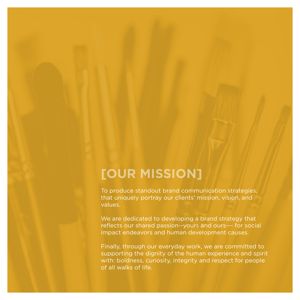### **[OUR MISSION]**

To produce standout brand communication strategies, that uniquely portray our clients' mission, vision, and values.

We are dedicated to developing a brand strategy that reflects our shared passion--yours and ours--- for social impact endeavors and human development causes.

Finally, through our everyday work, we are committed to supporting the dignity of the human experience and spirit with: boldness, curiosity, integrity and respect for people of all walks of life.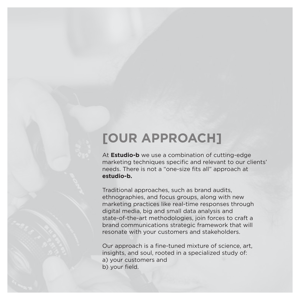#### **[OUR APPROACH]**

At **Estudio-b** we use a combination of cutting-edge marketing techniques specific and relevant to our clients' needs. There is not a "one-size fits all" approach at **estudio-b.**

Traditional approaches, such as brand audits, ethnographies, and focus groups, along with new marketing practices like real-time responses through digital media, big and small data analysis and state-of-the-art methodologies, join forces to craft a brand communications strategic framework that will resonate with your customers and stakeholders.

Our approach is a fine-tuned mixture of science, art, insights, and soul, rooted in a specialized study of: a) your customers and b) your field.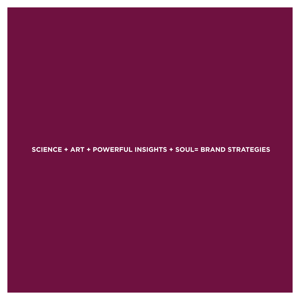**SCIENCE + ART + POWERFUL INSIGHTS + SOUL= BRAND STRATEGIES**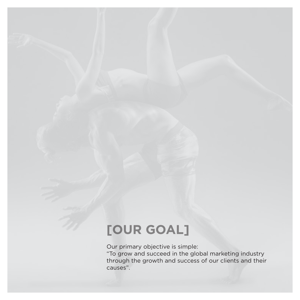## **[OUR GOAL]**

Our primary objective is simple:

"To grow and succeed in the global marketing industry through the growth and success of our clients and their causes".